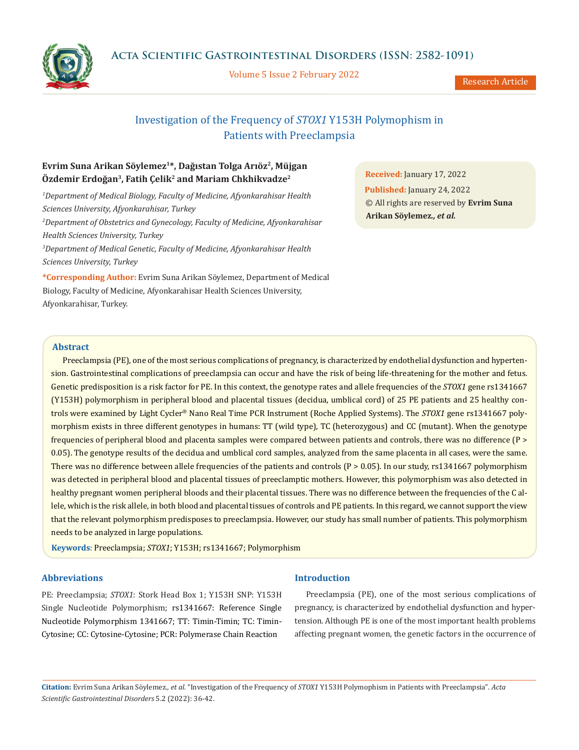

Volume 5 Issue 2 February 2022

Research Article

# Investigation of the Frequency of *STOX1* Y153H Polymophism in Patients with Preeclampsia

## **Evrim Suna Arikan Söylemez1\*, Dağıstan Tolga Arıöz<sup>2</sup>, Müjgan Özdemir Erdoğan<sup>3</sup>, Fatih Çelik<sup>2</sup> and Mariam Chkhikvadze<sup>2</sup>**

*1 Department of Medical Biology, Faculty of Medicine, Afyonkarahisar Health Sciences University, Afyonkarahisar, Turkey 2 Department of Obstetrics and Gynecology, Faculty of Medicine, Afyonkarahisar Health Sciences University, Turkey 3 Department of Medical Genetic, Faculty of Medicine, Afyonkarahisar Health Sciences University, Turkey*

**\*Corresponding Author:** Evrim Suna Arikan Söylemez, Department of Medical Biology, Faculty of Medicine, Afyonkarahisar Health Sciences University, Afyonkarahisar, Turkey.

**Received:** January 17, 2022 **Published:** January 24, 2022 © All rights are reserved by **Evrim Suna Arikan Söylemez***., et al.*

### **Abstract**

Preeclampsia (PE), one of the most serious complications of pregnancy, is characterized by endothelial dysfunction and hypertension. Gastrointestinal complications of preeclampsia can occur and have the risk of being life-threatening for the mother and fetus. Genetic predisposition is a risk factor for PE. In this context, the genotype rates and allele frequencies of the *STOX1* gene rs1341667 (Y153H) polymorphism in peripheral blood and placental tissues (decidua, umblical cord) of 25 PE patients and 25 healthy controls were examined by Light Cycler® Nano Real Time PCR Instrument (Roche Applied Systems). The *STOX1* gene rs1341667 polymorphism exists in three different genotypes in humans: TT (wild type), TC (heterozygous) and CC (mutant). When the genotype frequencies of peripheral blood and placenta samples were compared between patients and controls, there was no difference (P > 0.05). The genotype results of the decidua and umblical cord samples, analyzed from the same placenta in all cases, were the same. There was no difference between allele frequencies of the patients and controls  $(P > 0.05)$ . In our study, rs1341667 polymorphism was detected in peripheral blood and placental tissues of preeclamptic mothers. However, this polymorphism was also detected in healthy pregnant women peripheral bloods and their placental tissues. There was no difference between the frequencies of the C allele, which is the risk allele, in both blood and placental tissues of controls and PE patients. In this regard, we cannot support the view that the relevant polymorphism predisposes to preeclampsia. However, our study has small number of patients. This polymorphism needs to be analyzed in large populations.

**Keywords**: Preeclampsia; *STOX1*; Y153H; rs1341667; Polymorphism

### **Abbreviations**

PE: Preeclampsia; *STOX1*: Stork Head Box 1; Y153H SNP: Y153H Single Nucleotide Polymorphism; rs1341667: Reference Single Nucleotide Polymorphism 1341667; TT: Timin-Timin; TC: Timin-Cytosine; CC: Cytosine-Cytosine; PCR: Polymerase Chain Reaction

### **Introduction**

Preeclampsia (PE), one of the most serious complications of pregnancy, is characterized by endothelial dysfunction and hypertension. Although PE is one of the most important health problems affecting pregnant women, the genetic factors in the occurrence of

**Citation:** Evrim Suna Arikan Söylemez*., et al.* "Investigation of the Frequency of *STOX1* Y153H Polymophism in Patients with Preeclampsia". *Acta Scientific Gastrointestinal Disorders* 5.2 (2022): 36-42.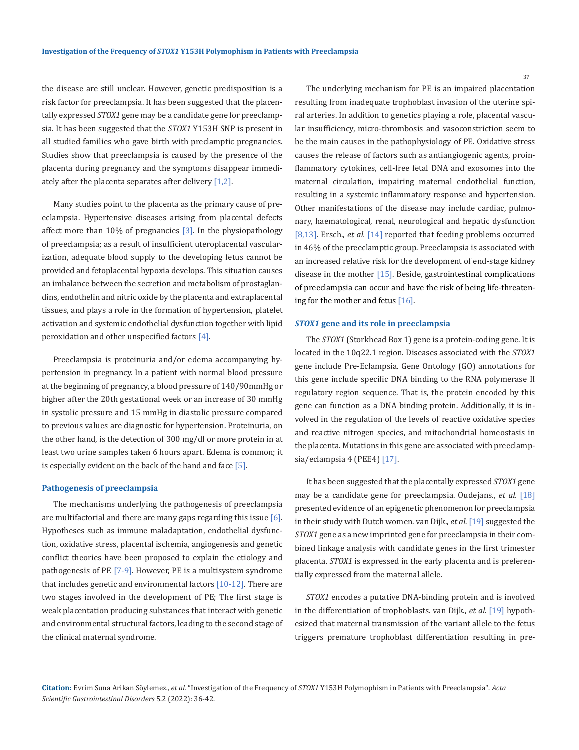the disease are still unclear. However, genetic predisposition is a risk factor for preeclampsia. It has been suggested that the placentally expressed *STOX1* gene may be a candidate gene for preeclampsia. It has been suggested that the *STOX1* Y153H SNP is present in all studied families who gave birth with preclamptic pregnancies. Studies show that preeclampsia is caused by the presence of the placenta during pregnancy and the symptoms disappear immediately after the placenta separates after delivery [1,2].

Many studies point to the placenta as the primary cause of preeclampsia. Hypertensive diseases arising from placental defects affect more than 10% of pregnancies [3]. In the physiopathology of preeclampsia; as a result of insufficient uteroplacental vascularization, adequate blood supply to the developing fetus cannot be provided and fetoplacental hypoxia develops. This situation causes an imbalance between the secretion and metabolism of prostaglandins, endothelin and nitric oxide by the placenta and extraplacental tissues, and plays a role in the formation of hypertension, platelet activation and systemic endothelial dysfunction together with lipid peroxidation and other unspecified factors [4].

Preeclampsia is proteinuria and/or edema accompanying hypertension in pregnancy. In a patient with normal blood pressure at the beginning of pregnancy, a blood pressure of 140/90mmHg or higher after the 20th gestational week or an increase of 30 mmHg in systolic pressure and 15 mmHg in diastolic pressure compared to previous values are diagnostic for hypertension. Proteinuria, on the other hand, is the detection of 300 mg/dl or more protein in at least two urine samples taken 6 hours apart. Edema is common; it is especially evident on the back of the hand and face [5].

#### **Pathogenesis of preeclampsia**

The mechanisms underlying the pathogenesis of preeclampsia are multifactorial and there are many gaps regarding this issue  $[6]$ . Hypotheses such as immune maladaptation, endothelial dysfunction, oxidative stress, placental ischemia, angiogenesis and genetic conflict theories have been proposed to explain the etiology and pathogenesis of PE [7-9]. However, PE is a multisystem syndrome that includes genetic and environmental factors  $[10-12]$ . There are two stages involved in the development of PE; The first stage is weak placentation producing substances that interact with genetic and environmental structural factors, leading to the second stage of the clinical maternal syndrome.

The underlying mechanism for PE is an impaired placentation resulting from inadequate trophoblast invasion of the uterine spiral arteries. In addition to genetics playing a role, placental vascular insufficiency, micro-thrombosis and vasoconstriction seem to be the main causes in the pathophysiology of PE. Oxidative stress causes the release of factors such as antiangiogenic agents, proinflammatory cytokines, cell-free fetal DNA and exosomes into the maternal circulation, impairing maternal endothelial function, resulting in a systemic inflammatory response and hypertension. Other manifestations of the disease may include cardiac, pulmonary, haematological, renal, neurological and hepatic dysfunction [8,13]. Ersch., *et al.* [14] reported that feeding problems occurred in 46% of the preeclamptic group. Preeclampsia is associated with an increased relative risk for the development of end-stage kidney disease in the mother  $[15]$ . Beside, gastrointestinal complications of preeclampsia can occur and have the risk of being life-threatening for the mother and fetus [16].

#### *STOX1* **gene and its role in preeclampsia**

The *STOX1* (Storkhead Box 1) gene is a protein-coding gene. It is located in the 10q22.1 region. Diseases associated with the *STOX1* gene include Pre-Eclampsia. Gene Ontology (GO) annotations for this gene include specific DNA binding to the RNA polymerase II regulatory region sequence. That is, the protein encoded by this gene can function as a DNA binding protein. Additionally, it is involved in the regulation of the levels of reactive oxidative species and reactive nitrogen species, and mitochondrial homeostasis in the placenta. Mutations in this gene are associated with preeclampsia/eclampsia 4 (PEE4) [17].

It has been suggested that the placentally expressed *STOX1* gene may be a candidate gene for preeclampsia. Oudejans., *et al.* [18] presented evidence of an epigenetic phenomenon for preeclampsia in their study with Dutch women. van Dijk., *et al.* [19] suggested the *STOX1* gene as a new imprinted gene for preeclampsia in their combined linkage analysis with candidate genes in the first trimester placenta. *STOX1* is expressed in the early placenta and is preferentially expressed from the maternal allele.

*STOX1* encodes a putative DNA-binding protein and is involved in the differentiation of trophoblasts. van Dijk., *et al.* [19] hypothesized that maternal transmission of the variant allele to the fetus triggers premature trophoblast differentiation resulting in pre-

**Citation:** Evrim Suna Arikan Söylemez*., et al.* "Investigation of the Frequency of *STOX1* Y153H Polymophism in Patients with Preeclampsia". *Acta Scientific Gastrointestinal Disorders* 5.2 (2022): 36-42.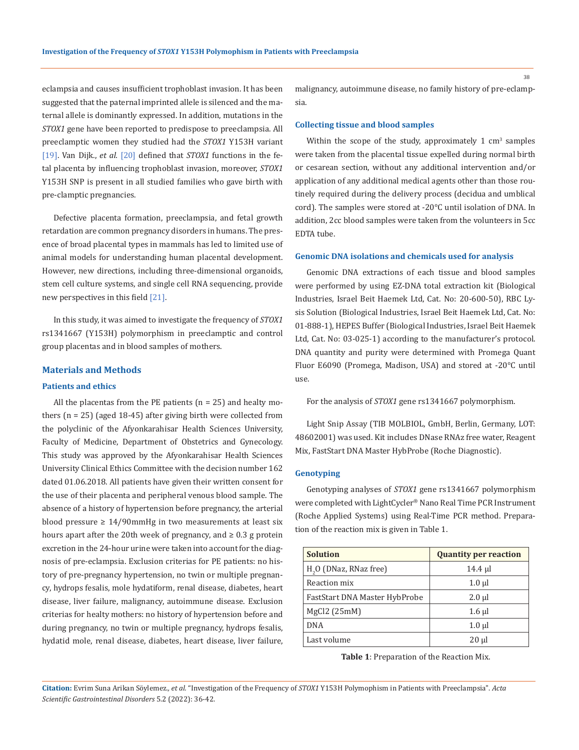eclampsia and causes insufficient trophoblast invasion. It has been suggested that the paternal imprinted allele is silenced and the maternal allele is dominantly expressed. In addition, mutations in the *STOX1* gene have been reported to predispose to preeclampsia. All preeclamptic women they studied had the *STOX1* Y153H variant [19]. Van Dijk., *et al.* [20] defined that *STOX1* functions in the fetal placenta by influencing trophoblast invasion, moreover, *STOX1* Y153H SNP is present in all studied families who gave birth with pre-clamptic pregnancies.

Defective placenta formation, preeclampsia, and fetal growth retardation are common pregnancy disorders in humans. The presence of broad placental types in mammals has led to limited use of animal models for understanding human placental development. However, new directions, including three-dimensional organoids, stem cell culture systems, and single cell RNA sequencing, provide new perspectives in this field [21].

In this study, it was aimed to investigate the frequency of *STOX1* rs1341667 (Y153H) polymorphism in preeclamptic and control group placentas and in blood samples of mothers.

### **Materials and Methods**

#### **Patients and ethics**

All the placentas from the PE patients  $(n = 25)$  and healty mothers (n = 25) (aged 18-45) after giving birth were collected from the polyclinic of the Afyonkarahisar Health Sciences University, Faculty of Medicine, Department of Obstetrics and Gynecology. This study was approved by the Afyonkarahisar Health Sciences University Clinical Ethics Committee with the decision number 162 dated 01.06.2018. All patients have given their written consent for the use of their placenta and peripheral venous blood sample. The absence of a history of hypertension before pregnancy, the arterial blood pressure  $\geq 14/90$ mmHg in two measurements at least six hours apart after the 20th week of pregnancy, and  $\geq 0.3$  g protein excretion in the 24-hour urine were taken into account for the diagnosis of pre-eclampsia. Exclusion criterias for PE patients: no history of pre-pregnancy hypertension, no twin or multiple pregnancy, hydrops fesalis, mole hydatiform, renal disease, diabetes, heart disease, liver failure, malignancy, autoimmune disease. Exclusion criterias for healty mothers: no history of hypertension before and during pregnancy, no twin or multiple pregnancy, hydrops fesalis, hydatid mole, renal disease, diabetes, heart disease, liver failure,

malignancy, autoimmune disease, no family history of pre-eclampsia.

### **Collecting tissue and blood samples**

Within the scope of the study, approximately  $1 \text{ cm}^3$  samples were taken from the placental tissue expelled during normal birth or cesarean section, without any additional intervention and/or application of any additional medical agents other than those routinely required during the delivery process (decidua and umblical cord). The samples were stored at -20°C until isolation of DNA. In addition, 2cc blood samples were taken from the volunteers in 5cc EDTA tube.

#### **Genomic DNA isolations and chemicals used for analysis**

Genomic DNA extractions of each tissue and blood samples were performed by using EZ-DNA total extraction kit (Biological Industries, Israel Beit Haemek Ltd, Cat. No: 20-600-50), RBC Lysis Solution (Biological Industries, Israel Beit Haemek Ltd, Cat. No: 01-888-1), HEPES Buffer (Biological Industries, Israel Beit Haemek Ltd, Cat. No: 03-025-1) according to the manufacturer's protocol. DNA quantity and purity were determined with Promega Quant Fluor E6090 (Promega, Madison, USA) and stored at -20°C until use.

For the analysis of *STOX1* gene rs1341667 polymorphism.

Light Snip Assay (TIB MOLBIOL, GmbH, Berlin, Germany, LOT: 48602001) was used. Kit includes DNase RNAz free water, Reagent Mix, FastStart DNA Master HybProbe (Roche Diagnostic).

### **Genotyping**

Genotyping analyses of *STOX1* gene rs1341667 polymorphism were completed with LightCycler® Nano Real Time PCR Instrument (Roche Applied Systems) using Real-Time PCR method. Preparation of the reaction mix is given in Table 1.

| <b>Solution</b>                    | <b>Quantity per reaction</b> |  |  |
|------------------------------------|------------------------------|--|--|
| H <sub>2</sub> O (DNaz, RNaz free) | 14.4 µl                      |  |  |
| Reaction mix                       | $1.0 \mu$                    |  |  |
| FastStart DNA Master HybProbe      | $2.0$ $\mu$                  |  |  |
| MgCl2 (25mM)                       | $1.6 \mu$                    |  |  |
| <b>DNA</b>                         | $1.0$ $\mu$                  |  |  |
| Last volume                        | $20 \mu$                     |  |  |

**Table 1**: Preparation of the Reaction Mix.

**Citation:** Evrim Suna Arikan Söylemez*., et al.* "Investigation of the Frequency of *STOX1* Y153H Polymophism in Patients with Preeclampsia". *Acta Scientific Gastrointestinal Disorders* 5.2 (2022): 36-42.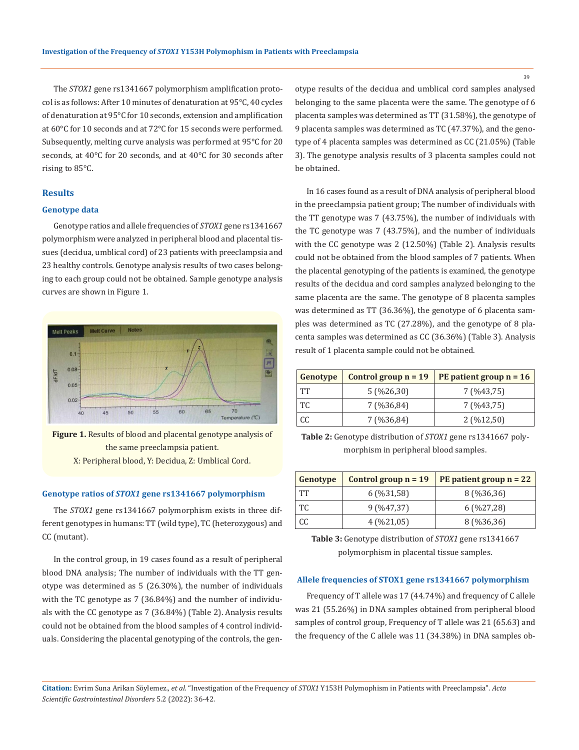The *STOX1* gene rs1341667 polymorphism amplification protocol is as follows: After 10 minutes of denaturation at 95°C, 40 cycles of denaturation at 95°C for 10 seconds, extension and amplification at 60°C for 10 seconds and at 72°C for 15 seconds were performed. Subsequently, melting curve analysis was performed at 95°C for 20 seconds, at 40°C for 20 seconds, and at 40°C for 30 seconds after rising to 85°C.

### **Results**

### **Genotype data**

Genotype ratios and allele frequencies of *STOX1* gene rs1341667 polymorphism were analyzed in peripheral blood and placental tissues (decidua, umblical cord) of 23 patients with preeclampsia and 23 healthy controls. Genotype analysis results of two cases belonging to each group could not be obtained. Sample genotype analysis curves are shown in Figure 1.



**Figure 1.** Results of blood and placental genotype analysis of the same preeclampsia patient. X: Peripheral blood, Y: Decidua, Z: Umblical Cord.

### **Genotype ratios of** *STOX1* **gene rs1341667 polymorphism**

The *STOX1* gene rs1341667 polymorphism exists in three different genotypes in humans: TT (wild type), TC (heterozygous) and CC (mutant).

In the control group, in 19 cases found as a result of peripheral blood DNA analysis; The number of individuals with the TT genotype was determined as 5 (26.30%), the number of individuals with the TC genotype as 7 (36.84%) and the number of individuals with the CC genotype as 7 (36.84%) (Table 2). Analysis results could not be obtained from the blood samples of 4 control individuals. Considering the placental genotyping of the controls, the genotype results of the decidua and umblical cord samples analysed belonging to the same placenta were the same. The genotype of 6 placenta samples was determined as TT (31.58%), the genotype of 9 placenta samples was determined as TC (47.37%), and the genotype of 4 placenta samples was determined as CC (21.05%) (Table 3). The genotype analysis results of 3 placenta samples could not be obtained.

In 16 cases found as a result of DNA analysis of peripheral blood in the preeclampsia patient group; The number of individuals with the TT genotype was 7 (43.75%), the number of individuals with the TC genotype was 7 (43.75%), and the number of individuals with the CC genotype was 2 (12.50%) (Table 2). Analysis results could not be obtained from the blood samples of 7 patients. When the placental genotyping of the patients is examined, the genotype results of the decidua and cord samples analyzed belonging to the same placenta are the same. The genotype of 8 placenta samples was determined as TT (36.36%), the genotype of 6 placenta samples was determined as TC (27.28%), and the genotype of 8 placenta samples was determined as CC (36.36%) (Table 3). Analysis result of 1 placenta sample could not be obtained.

| Genotype  | Control group $n = 19$ | PE patient group $n = 16$ |  |  |
|-----------|------------------------|---------------------------|--|--|
| <b>TT</b> | $5($ %26,30)           | 7 (%43,75)                |  |  |
| TC        | 7 (%36,84)             | 7 (%43,75)                |  |  |
| CC        | 7 (%36,84)             | $2($ %12,50)              |  |  |

**Table 2:** Genotype distribution of *STOX1* gene rs1341667 polymorphism in peripheral blood samples.

| Genotype  | Control group $n = 19$ | PE patient group $n = 22$ |  |
|-----------|------------------------|---------------------------|--|
| <b>TT</b> | $6($ %31,58)           | 8 (%36,36)                |  |
| TC        | $9($ %47,37)           | $6($ %27,28)              |  |
| CC        | 4(%21,05)              | 8 (%36,36)                |  |

**Table 3:** Genotype distribution of *STOX1* gene rs1341667 polymorphism in placental tissue samples.

#### **Allele frequencies of STOX1 gene rs1341667 polymorphism**

Frequency of T allele was 17 (44.74%) and frequency of C allele was 21 (55.26%) in DNA samples obtained from peripheral blood samples of control group, Frequency of T allele was 21 (65.63) and the frequency of the C allele was 11 (34.38%) in DNA samples ob-

**Citation:** Evrim Suna Arikan Söylemez*., et al.* "Investigation of the Frequency of *STOX1* Y153H Polymophism in Patients with Preeclampsia". *Acta Scientific Gastrointestinal Disorders* 5.2 (2022): 36-42.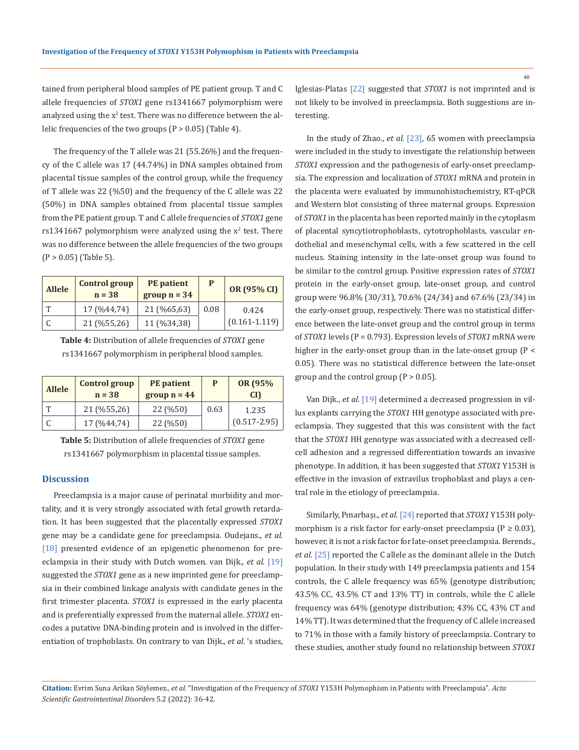tained from peripheral blood samples of PE patient group. T and C allele frequencies of *STOX1* gene rs1341667 polymorphism were analyzed using the  $x^2$  test. There was no difference between the allelic frequencies of the two groups (P > 0.05) (Table 4).

The frequency of the T allele was 21 (55.26%) and the frequency of the C allele was 17 (44.74%) in DNA samples obtained from placental tissue samples of the control group, while the frequency of T allele was 22 (%50) and the frequency of the C allele was 22 (50%) in DNA samples obtained from placental tissue samples from the PE patient group. T and C allele frequencies of *STOX1* gene  $rs1341667$  polymorphism were analyzed using the  $x^2$  test. There was no difference between the allele frequencies of the two groups  $(P > 0.05)$  (Table 5).

| <b>Allele</b> | <b>Control group</b><br>$n = 38$ | <b>PE</b> patient<br>group $n = 34$ |      | OR (95% CI)       |
|---------------|----------------------------------|-------------------------------------|------|-------------------|
| ጥ             | 17 (%44,74)                      | 21 (%65,63)                         | 0.08 | 0.424             |
|               | 21 (%55,26)                      | 11 (%34,38)                         |      | $(0.161 - 1.119)$ |

**Table 4:** Distribution of allele frequencies of *STOX1* gene rs1341667 polymorphism in peripheral blood samples.

| <b>Allele</b> | <b>Control group</b><br>$n = 38$ | <b>PE</b> patient<br>group $n = 44$ | P    | OR (95%)<br>CD <sub>1</sub> |
|---------------|----------------------------------|-------------------------------------|------|-----------------------------|
|               | 21 (%55,26)                      | 22 (%50)                            | 0.63 | 1.235                       |
|               | 17 (%44,74)                      | 22 (%50)                            |      | $(0.517 - 2.95)$            |

**Table 5:** Distribution of allele frequencies of *STOX1* gene rs1341667 polymorphism in placental tissue samples.

### **Discussion**

Preeclampsia is a major cause of perinatal morbidity and mortality, and it is very strongly associated with fetal growth retardation. It has been suggested that the placentally expressed *STOX1* gene may be a candidate gene for preeclampsia. Oudejans., *et al.* [18] presented evidence of an epigenetic phenomenon for preeclampsia in their study with Dutch women. van Dijk., *et al.* [19] suggested the *STOX1* gene as a new imprinted gene for preeclampsia in their combined linkage analysis with candidate genes in the first trimester placenta. *STOX1* is expressed in the early placenta and is preferentially expressed from the maternal allele. *STOX1* encodes a putative DNA-binding protein and is involved in the differentiation of trophoblasts. On contrary to van Dijk., *et al.* 's studies, Iglesias-Platas [22] suggested that *STOX1* is not imprinted and is not likely to be involved in preeclampsia. Both suggestions are interesting.

In the study of Zhao., *et al.* [23], 65 women with preeclampsia were included in the study to investigate the relationship between *STOX1* expression and the pathogenesis of early-onset preeclampsia. The expression and localization of *STOX1* mRNA and protein in the placenta were evaluated by immunohistochemistry, RT-qPCR and Western blot consisting of three maternal groups. Expression of *STOX1* in the placenta has been reported mainly in the cytoplasm of placental syncytiotrophoblasts, cytotrophoblasts, vascular endothelial and mesenchymal cells, with a few scattered in the cell nucleus. Staining intensity in the late-onset group was found to be similar to the control group. Positive expression rates of *STOX1* protein in the early-onset group, late-onset group, and control group were 96.8% (30/31), 70.6% (24/34) and 67.6% (23/34) in the early-onset group, respectively. There was no statistical difference between the late-onset group and the control group in terms of *STOX1* levels (P = 0.793). Expression levels of *STOX1* mRNA were higher in the early-onset group than in the late-onset group (P < 0.05). There was no statistical difference between the late-onset group and the control group  $(P > 0.05)$ .

Van Dijk., *et al.* [19] determined a decreased progression in villus explants carrying the *STOX1* HH genotype associated with preeclampsia. They suggested that this was consistent with the fact that the *STOX1* HH genotype was associated with a decreased cellcell adhesion and a regressed differentiation towards an invasive phenotype. In addition, it has been suggested that *STOX1* Y153H is effective in the invasion of extravilus trophoblast and plays a central role in the etiology of preeclampsia.

Similarly, Pınarbaşı., *et al.* [24] reported that *STOX1* Y153H polymorphism is a risk factor for early-onset preeclampsia ( $P \ge 0.03$ ), however, it is not a risk factor for late-onset preeclampsia. Berends., *et al.* [25] reported the C allele as the dominant allele in the Dutch population. In their study with 149 preeclampsia patients and 154 controls, the C allele frequency was 65% (genotype distribution; 43.5% CC, 43.5% CT and 13% TT) in controls, while the C allele frequency was 64% (genotype distribution; 43% CC, 43% CT and 14% TT). It was determined that the frequency of C allele increased to 71% in those with a family history of preeclampsia. Contrary to these studies, another study found no relationship between *STOX1*

**Citation:** Evrim Suna Arikan Söylemez*., et al.* "Investigation of the Frequency of *STOX1* Y153H Polymophism in Patients with Preeclampsia". *Acta Scientific Gastrointestinal Disorders* 5.2 (2022): 36-42.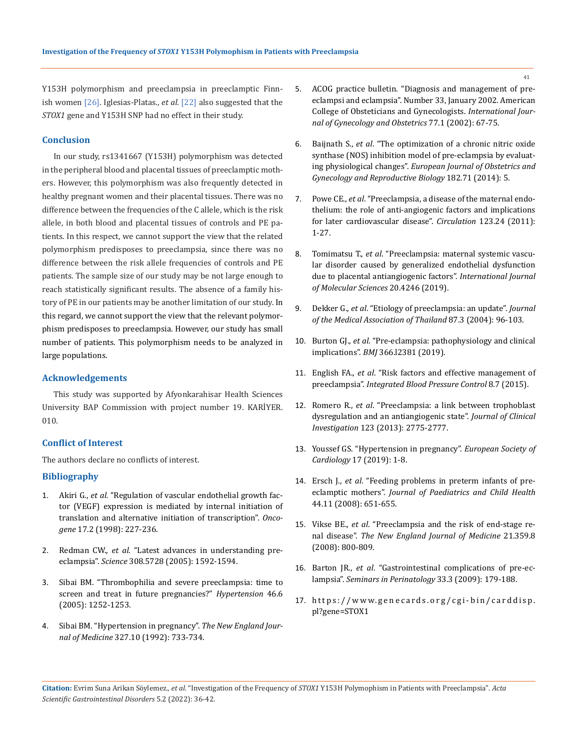Y153H polymorphism and preeclampsia in preeclamptic Finnish women [26]. Iglesias-Platas., *et al.* [22] also suggested that the *STOX1* gene and Y153H SNP had no effect in their study.

### **Conclusion**

In our study, rs1341667 (Y153H) polymorphism was detected in the peripheral blood and placental tissues of preeclamptic mothers. However, this polymorphism was also frequently detected in healthy pregnant women and their placental tissues. There was no difference between the frequencies of the C allele, which is the risk allele, in both blood and placental tissues of controls and PE patients. In this respect, we cannot support the view that the related polymorphism predisposes to preeclampsia, since there was no difference between the risk allele frequencies of controls and PE patients. The sample size of our study may be not large enough to reach statistically significant results. The absence of a family history of PE in our patients may be another limitation of our study. In this regard, we cannot support the view that the relevant polymorphism predisposes to preeclampsia. However, our study has small number of patients. This polymorphism needs to be analyzed in large populations.

### **Acknowledgements**

This study was supported by Afyonkarahisar Health Sciences University BAP Commission with project number 19. KARİYER. 010.

### **Conflict of Interest**

The authors declare no conflicts of interest.

#### **Bibliography**

- 1. Akiri G., *et al.* ["Regulation of vascular endothelial growth fac](https://pubmed.ncbi.nlm.nih.gov/9674707/)[tor \(VEGF\) expression is mediated by internal initiation of](https://pubmed.ncbi.nlm.nih.gov/9674707/)  [translation and alternative initiation of transcription".](https://pubmed.ncbi.nlm.nih.gov/9674707/) *Oncogene* [17.2 \(1998\): 227-236.](https://pubmed.ncbi.nlm.nih.gov/9674707/)
- 2. Redman CW., *et al*[. "Latest advances in understanding pre](https://pubmed.ncbi.nlm.nih.gov/15947178/)eclampsia". *Science* [308.5728 \(2005\): 1592-1594.](https://pubmed.ncbi.nlm.nih.gov/15947178/)
- 3. [Sibai BM. "Thrombophilia and severe preeclampsia: time to](https://www.ahajournals.org/doi/10.1161/01.HYP.0000188904.47575.7e)  [screen and treat in future pregnancies?"](https://www.ahajournals.org/doi/10.1161/01.HYP.0000188904.47575.7e) *Hypertension* 46.6 [\(2005\): 1252-1253.](https://www.ahajournals.org/doi/10.1161/01.HYP.0000188904.47575.7e)
- 4. [Sibai BM. "Hypertension in pregnancy".](https://pubmed.ncbi.nlm.nih.gov/1484651/) *The New England Journal of Medicine* [327.10 \(1992\): 733-734.](https://pubmed.ncbi.nlm.nih.gov/1484651/)
- 5. [ACOG practice bulletin. "Diagnosis and management of pre](https://pubmed.ncbi.nlm.nih.gov/15617295/)[eclampsi and eclampsia". Number 33, January 2002. American](https://pubmed.ncbi.nlm.nih.gov/15617295/)  [College of Obsteticians and Gynecologists.](https://pubmed.ncbi.nlm.nih.gov/15617295/) *International Jour[nal of Gynecology and Obstetrics](https://pubmed.ncbi.nlm.nih.gov/15617295/)* 77.1 (2002): 67-75.
- 6. Baijnath S., *et al*[. "The optimization of a chronic nitric oxide](https://www.ejog.org/article/S0301-2115(14)00452-7/fulltext)  [synthase \(NOS\) inhibition model of pre-eclampsia by evaluat](https://www.ejog.org/article/S0301-2115(14)00452-7/fulltext)ing physiological changes". *[European Journal of Obstetrics and](https://www.ejog.org/article/S0301-2115(14)00452-7/fulltext)  [Gynecology and Reproductive Biology](https://www.ejog.org/article/S0301-2115(14)00452-7/fulltext)* 182.71 (2014): 5.
- 7. Powe CE., *et al*[. "Preeclampsia, a disease of the maternal endo](https://pubmed.ncbi.nlm.nih.gov/21690502/)[thelium: the role of anti-angiogenic factors and implications](https://pubmed.ncbi.nlm.nih.gov/21690502/)  [for later cardiovascular disease".](https://pubmed.ncbi.nlm.nih.gov/21690502/) *Circulation* 123.24 (2011): [1-27.](https://pubmed.ncbi.nlm.nih.gov/21690502/)
- 8. Tomimatsu T., *et al*[. "Preeclampsia: maternal systemic vascu](https://www.mdpi.com/1422-0067/20/17/4246)[lar disorder caused by generalized endothelial dysfunction](https://www.mdpi.com/1422-0067/20/17/4246)  [due to placental antiangiogenic factors".](https://www.mdpi.com/1422-0067/20/17/4246) *International Journal [of Molecular Sciences](https://www.mdpi.com/1422-0067/20/17/4246)* 20.4246 (2019).
- 9. Dekker G., *et al*[. "Etiology of preeclampsia: an update".](https://pubmed.ncbi.nlm.nih.gov/21213501/) *Journal [of the Medical Association of Thailand](https://pubmed.ncbi.nlm.nih.gov/21213501/)* 87.3 (2004): 96-103.
- 10. Burton GJ., *et al*[. "Pre-eclampsia: pathophysiology and clinical](https://pubmed.ncbi.nlm.nih.gov/31307997/)  implications". *BMJ* [366.l2381 \(2019\).](https://pubmed.ncbi.nlm.nih.gov/31307997/)
- 11. English FA., *et al*[. "Risk factors and effective management of](https://www.dovepress.com/risk-factors-and-effective-management-of-preeclampsia-peer-reviewed-fulltext-article-IBPC)  preeclampsia". *[Integrated Blood Pressure Control](https://www.dovepress.com/risk-factors-and-effective-management-of-preeclampsia-peer-reviewed-fulltext-article-IBPC)* 8.7 (2015).
- 12. Romero R., *et al*[. "Preeclampsia: a link between trophoblast](https://pubmed.ncbi.nlm.nih.gov/23934119/)  [dysregulation and an antiangiogenic state".](https://pubmed.ncbi.nlm.nih.gov/23934119/) *Journal of Clinical Investigation* [123 \(2013\): 2775-2777.](https://pubmed.ncbi.nlm.nih.gov/23934119/)
- 13. [Youssef GS. "Hypertension in pregnancy".](https://www.escardio.org/Journals/E-Journal-of-Cardiology-Practice/Volume-17/hypertension-in-pregnancy) *European Society of Cardiology* [17 \(2019\): 1-8.](https://www.escardio.org/Journals/E-Journal-of-Cardiology-Practice/Volume-17/hypertension-in-pregnancy)
- 14. Ersch J., *et al*[. "Feeding problems in preterm infants of pre](https://pubmed.ncbi.nlm.nih.gov/18717769/)eclamptic mothers". *[Journal of Paediatrics and Child Health](https://pubmed.ncbi.nlm.nih.gov/18717769/)*  [44.11 \(2008\): 651-655.](https://pubmed.ncbi.nlm.nih.gov/18717769/)
- 15. Vikse BE., *et al*[. "Preeclampsia and the risk of end-stage re](https://pubmed.ncbi.nlm.nih.gov/18716297/)nal disease". *[The New England Journal of Medicine](https://pubmed.ncbi.nlm.nih.gov/18716297/)* 21.359.8 [\(2008\): 800-809.](https://pubmed.ncbi.nlm.nih.gov/18716297/)
- 16. Barton JR., *et al*[. "Gastrointestinal complications of pre-ec](https://pubmed.ncbi.nlm.nih.gov/19464509/)lampsia". *[Seminars in Perinatology](https://pubmed.ncbi.nlm.nih.gov/19464509/)* 33.3 (2009): 179-188.
- 17. [https://www.genecards.org/cgi-bin/carddisp.](https://www.genecards.org/cgi-bin/carddisp.pl?gene=STOX1) [pl?gene=STOX1](https://www.genecards.org/cgi-bin/carddisp.pl?gene=STOX1)

**Citation:** Evrim Suna Arikan Söylemez*., et al.* "Investigation of the Frequency of *STOX1* Y153H Polymophism in Patients with Preeclampsia". *Acta Scientific Gastrointestinal Disorders* 5.2 (2022): 36-42.